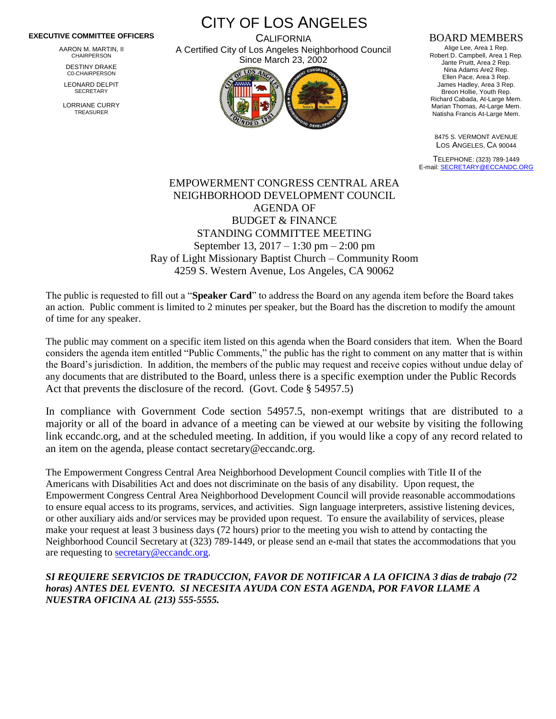## **EXECUTIVE COMMITTEE OFFICERS**

AARON M. MARTIN, II CHAIRPERSON

DESTINY DRAKE C0-CHAIRPERSON

LEONARD DELPIT **SECRETARY** 

LORRIANE CURRY TREASURER

CITY OF LOS ANGELES **CALIFORNIA** 

A Certified City of Los Angeles Neighborhood Council Since March 23, 2002



## BOARD MEMBERS

Alige Lee, Area 1 Rep. Robert D. Campbell, Area 1 Rep. Jante Pruitt, Area 2 Rep. Nina Adams Are2 Rep. Ellen Pace, Area 3 Rep. James Hadley, Area 3 Rep. Breon Hollie, Youth Rep. Richard Cabada, At-Large Mem. Marian Thomas, At-Large Mem. Natisha Francis At-Large Mem.

8475 S. VERMONT AVENUE LOS ANGELES, CA 90044

TELEPHONE: (323) 789-1449 E-mail[: SECRETARY@ECCANDC.ORG](mailto:SECRETARY@ECCANDC.ORG)

## EMPOWERMENT CONGRESS CENTRAL AREA NEIGHBORHOOD DEVELOPMENT COUNCIL AGENDA OF BUDGET & FINANCE STANDING COMMITTEE MEETING September 13, 2017 – 1:30 pm – 2:00 pm Ray of Light Missionary Baptist Church – Community Room 4259 S. Western Avenue, Los Angeles, CA 90062

The public is requested to fill out a "**Speaker Card**" to address the Board on any agenda item before the Board takes an action. Public comment is limited to 2 minutes per speaker, but the Board has the discretion to modify the amount of time for any speaker.

The public may comment on a specific item listed on this agenda when the Board considers that item. When the Board considers the agenda item entitled "Public Comments," the public has the right to comment on any matter that is within the Board's jurisdiction. In addition, the members of the public may request and receive copies without undue delay of any documents that are distributed to the Board, unless there is a specific exemption under the Public Records Act that prevents the disclosure of the record. (Govt. Code § 54957.5)

In compliance with Government Code section 54957.5, non-exempt writings that are distributed to a majority or all of the board in advance of a meeting can be viewed at our website by visiting the following link eccandc.org, and at the scheduled meeting. In addition, if you would like a copy of any record related to an item on the agenda, please contact secretary@eccandc.org.

The Empowerment Congress Central Area Neighborhood Development Council complies with Title II of the Americans with Disabilities Act and does not discriminate on the basis of any disability. Upon request, the Empowerment Congress Central Area Neighborhood Development Council will provide reasonable accommodations to ensure equal access to its programs, services, and activities. Sign language interpreters, assistive listening devices, or other auxiliary aids and/or services may be provided upon request. To ensure the availability of services, please make your request at least 3 business days (72 hours) prior to the meeting you wish to attend by contacting the Neighborhood Council Secretary at (323) 789-1449, or please send an e-mail that states the accommodations that you are requesting to [secretary@eccandc.org.](mailto:secretary@eccandc.org)

## *SI REQUIERE SERVICIOS DE TRADUCCION, FAVOR DE NOTIFICAR A LA OFICINA 3 dias de trabajo (72 horas) ANTES DEL EVENTO. SI NECESITA AYUDA CON ESTA AGENDA, POR FAVOR LLAME A NUESTRA OFICINA AL (213) 555-5555.*